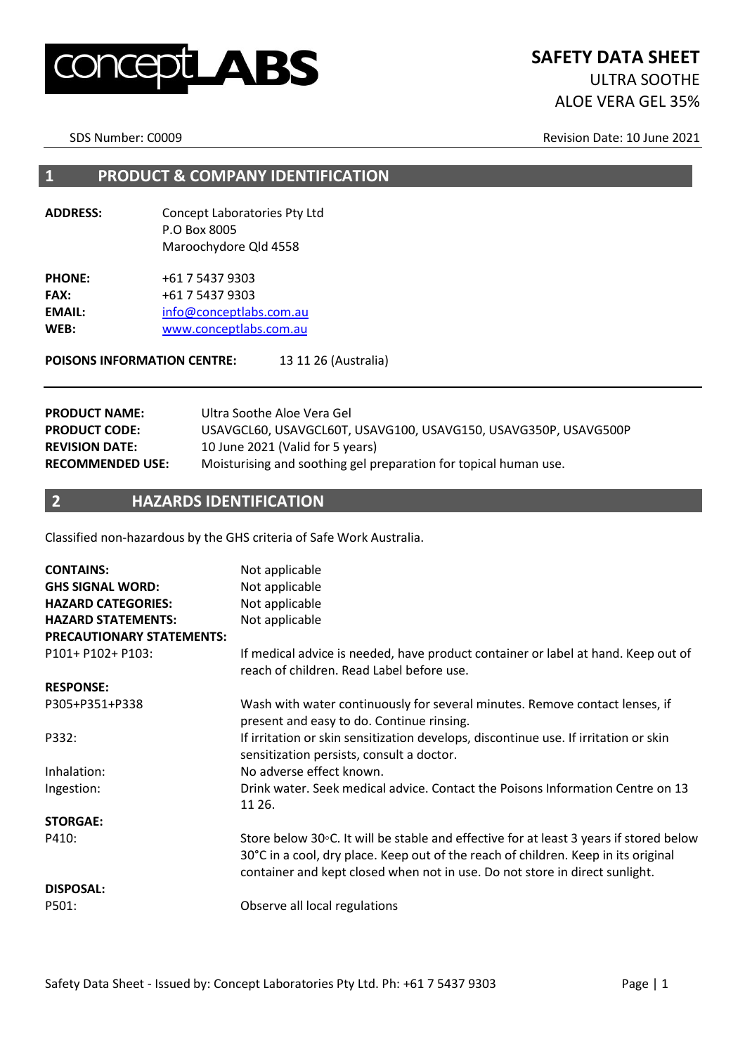

SDS Number: C0009 Revision Date: 10 June 2021

#### **1 PRODUCT & COMPANY IDENTIFICATION**

**ADDRESS:** Concept Laboratories Pty Ltd P.O Box 8005 Maroochydore Qld 4558

**PHONE:** +61 7 5437 9303 **FAX:** +61 7 5437 9303 EMAIL: [info@conceptlabs.com.au](mailto:info@conceptlabs.com.au) **WEB:** [www.conceptlabs.com.au](http://www.conceptlabs.com.au/)

POISONS INFORMATION CENTRE: 13 11 26 (Australia)

| <b>PRODUCT NAME:</b>    | Ultra Soothe Aloe Vera Gel                                       |
|-------------------------|------------------------------------------------------------------|
| <b>PRODUCT CODE:</b>    | USAVGCL60, USAVGCL60T, USAVG100, USAVG150, USAVG350P, USAVG500P  |
| <b>REVISION DATE:</b>   | 10 June 2021 (Valid for 5 years)                                 |
| <b>RECOMMENDED USE:</b> | Moisturising and soothing gel preparation for topical human use. |

#### **2 HAZARDS IDENTIFICATION**

Classified non-hazardous by the GHS criteria of Safe Work Australia.

| <b>CONTAINS:</b><br><b>GHS SIGNAL WORD:</b><br><b>HAZARD CATEGORIES:</b><br><b>HAZARD STATEMENTS:</b><br><b>PRECAUTIONARY STATEMENTS:</b> | Not applicable<br>Not applicable<br>Not applicable<br>Not applicable                                                                                                                                                                                        |
|-------------------------------------------------------------------------------------------------------------------------------------------|-------------------------------------------------------------------------------------------------------------------------------------------------------------------------------------------------------------------------------------------------------------|
| P101+ P102+ P103:                                                                                                                         | If medical advice is needed, have product container or label at hand. Keep out of<br>reach of children. Read Label before use.                                                                                                                              |
| <b>RESPONSE:</b>                                                                                                                          |                                                                                                                                                                                                                                                             |
| P305+P351+P338                                                                                                                            | Wash with water continuously for several minutes. Remove contact lenses, if<br>present and easy to do. Continue rinsing.                                                                                                                                    |
| P332:                                                                                                                                     | If irritation or skin sensitization develops, discontinue use. If irritation or skin<br>sensitization persists, consult a doctor.                                                                                                                           |
| Inhalation:                                                                                                                               | No adverse effect known.                                                                                                                                                                                                                                    |
| Ingestion:                                                                                                                                | Drink water. Seek medical advice. Contact the Poisons Information Centre on 13<br>11 26.                                                                                                                                                                    |
| <b>STORGAE:</b>                                                                                                                           |                                                                                                                                                                                                                                                             |
| P410:                                                                                                                                     | Store below 30°C. It will be stable and effective for at least 3 years if stored below<br>30°C in a cool, dry place. Keep out of the reach of children. Keep in its original<br>container and kept closed when not in use. Do not store in direct sunlight. |
| <b>DISPOSAL:</b>                                                                                                                          |                                                                                                                                                                                                                                                             |
| P501:                                                                                                                                     | Observe all local regulations                                                                                                                                                                                                                               |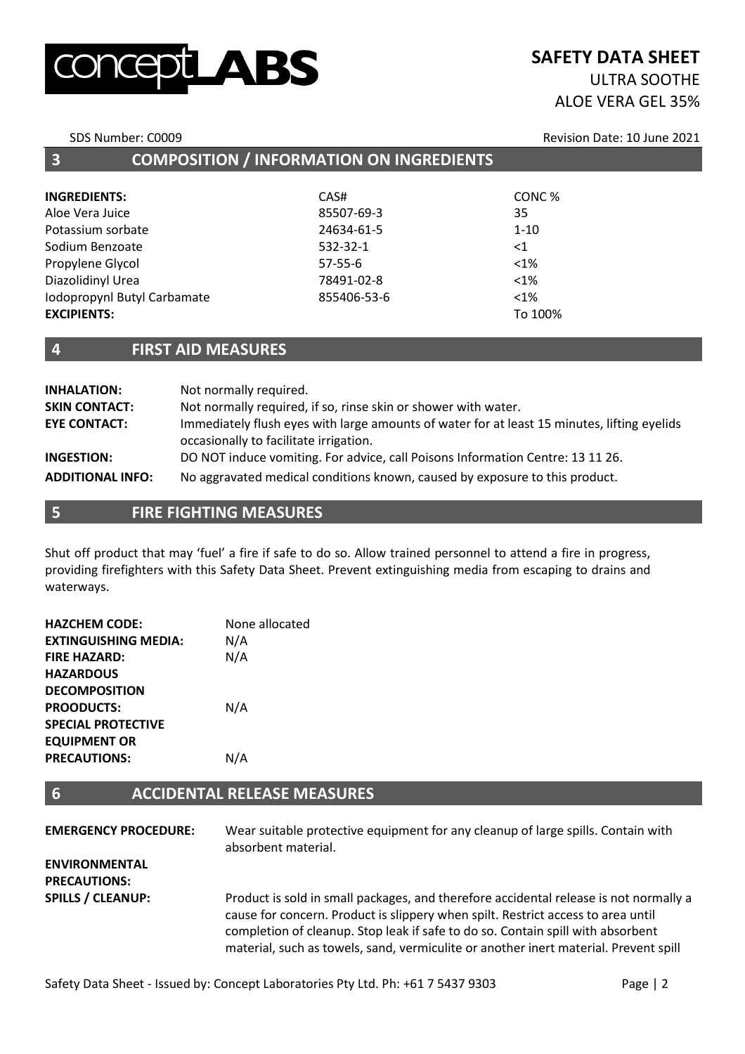# LABS

# **SAFETY DATA SHEET**

### ULTRA SOOTHE ALOE VERA GEL 35%

SDS Number: C0009 **Revision Date: 10 June 2021** 

| <b>INGREDIENTS:</b>         | CAS#          | CONC%    |  |
|-----------------------------|---------------|----------|--|
| Aloe Vera Juice             | 85507-69-3    | 35       |  |
| Potassium sorbate           | 24634-61-5    | $1 - 10$ |  |
| Sodium Benzoate             | 532-32-1      | $<$ 1    |  |
| Propylene Glycol            | $57 - 55 - 6$ | $<1\%$   |  |
| Diazolidinyl Urea           | 78491-02-8    | $< 1\%$  |  |
| Iodopropynl Butyl Carbamate | 855406-53-6   | $< 1\%$  |  |
| <b>EXCIPIENTS:</b>          |               | To 100%  |  |
|                             |               |          |  |

**3 COMPOSITION / INFORMATION ON INGREDIENTS**

#### **4 FIRST AID MEASURES**

| <b>INHALATION:</b>      | Not normally required.                                                                                                                |
|-------------------------|---------------------------------------------------------------------------------------------------------------------------------------|
| <b>SKIN CONTACT:</b>    | Not normally required, if so, rinse skin or shower with water.                                                                        |
| <b>EYE CONTACT:</b>     | Immediately flush eyes with large amounts of water for at least 15 minutes, lifting eyelids<br>occasionally to facilitate irrigation. |
| <b>INGESTION:</b>       | DO NOT induce vomiting. For advice, call Poisons Information Centre: 13 11 26.                                                        |
| <b>ADDITIONAL INFO:</b> | No aggravated medical conditions known, caused by exposure to this product.                                                           |

**5 FIRE FIGHTING MEASURES**

Shut off product that may 'fuel' a fire if safe to do so. Allow trained personnel to attend a fire in progress, providing firefighters with this Safety Data Sheet. Prevent extinguishing media from escaping to drains and waterways.

| <b>HAZCHEM CODE:</b>        | None allocated |
|-----------------------------|----------------|
| <b>EXTINGUISHING MEDIA:</b> | N/A            |
| <b>FIRE HAZARD:</b>         | N/A            |
| <b>HAZARDOUS</b>            |                |
| <b>DECOMPOSITION</b>        |                |
| <b>PROODUCTS:</b>           | N/A            |
| <b>SPECIAL PROTECTIVE</b>   |                |
| <b>EQUIPMENT OR</b>         |                |
| <b>PRECAUTIONS:</b>         | N/A            |
|                             |                |

#### **6 ACCIDENTAL RELEASE MEASURES**

| <b>EMERGENCY PROCEDURE:</b>                 | Wear suitable protective equipment for any cleanup of large spills. Contain with<br>absorbent material.                                                                                                                                                                                                                                              |
|---------------------------------------------|------------------------------------------------------------------------------------------------------------------------------------------------------------------------------------------------------------------------------------------------------------------------------------------------------------------------------------------------------|
| <b>ENVIRONMENTAL</b><br><b>PRECAUTIONS:</b> |                                                                                                                                                                                                                                                                                                                                                      |
| <b>SPILLS / CLEANUP:</b>                    | Product is sold in small packages, and therefore accidental release is not normally a<br>cause for concern. Product is slippery when spilt. Restrict access to area until<br>completion of cleanup. Stop leak if safe to do so. Contain spill with absorbent<br>material, such as towels, sand, vermiculite or another inert material. Prevent spill |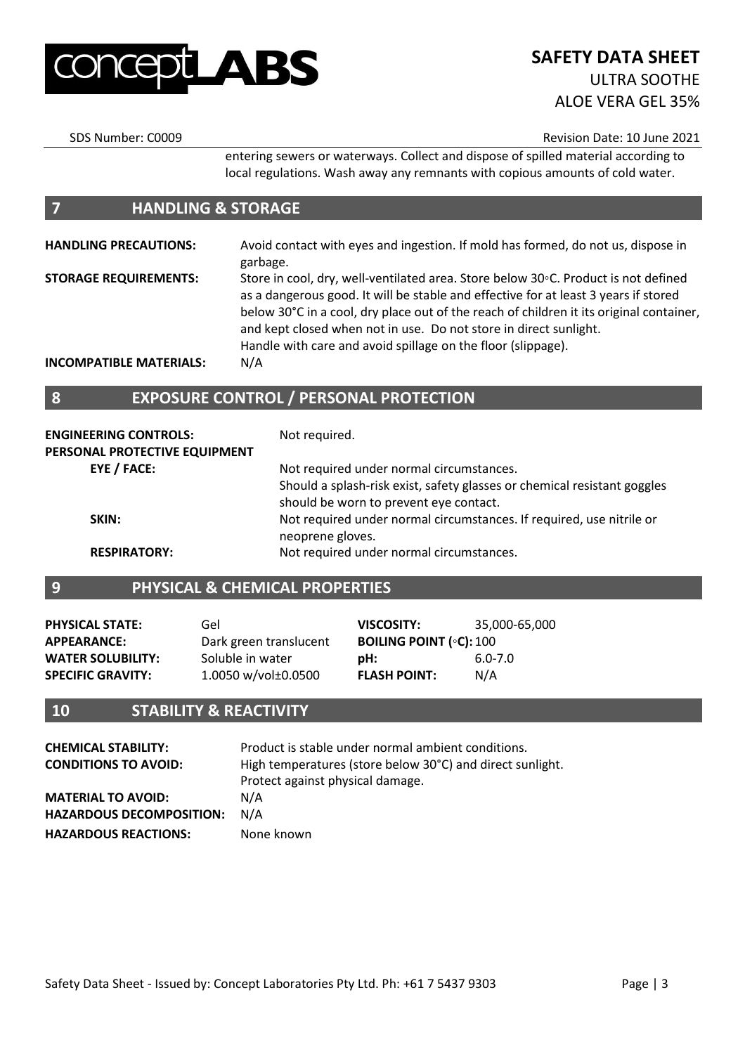

SDS Number: C0009 Revision Date: 10 June 2021

entering sewers or waterways. Collect and dispose of spilled material according to local regulations. Wash away any remnants with copious amounts of cold water.

#### **7 HANDLING & STORAGE**

**HANDLING PRECAUTIONS:** Avoid contact with eyes and ingestion. If mold has formed, do not us, dispose in garbage. **STORAGE REQUIREMENTS:** Store in cool, dry, well-ventilated area. Store below 30◦C. Product is not defined as a dangerous good. It will be stable and effective for at least 3 years if stored below 30°C in a cool, dry place out of the reach of children it its original container, and kept closed when not in use. Do not store in direct sunlight.

Handle with care and avoid spillage on the floor (slippage).

**INCOMPATIBLE MATERIALS:** N/A

#### **8 EXPOSURE CONTROL / PERSONAL PROTECTION**

| <b>ENGINEERING CONTROLS:</b><br>PERSONAL PROTECTIVE EQUIPMENT | Not required.                                                            |
|---------------------------------------------------------------|--------------------------------------------------------------------------|
| EYE / FACE:                                                   | Not required under normal circumstances.                                 |
|                                                               | Should a splash-risk exist, safety glasses or chemical resistant goggles |
|                                                               | should be worn to prevent eye contact.                                   |
| SKIN:                                                         | Not required under normal circumstances. If required, use nitrile or     |
|                                                               | neoprene gloves.                                                         |
| <b>RESPIRATORY:</b>                                           | Not required under normal circumstances.                                 |

#### **9 PHYSICAL & CHEMICAL PROPERTIES**

| <b>PHYSICAL STATE:</b>   | Gel                    | VISCOSITY:                                      | 35.000-65.000 |
|--------------------------|------------------------|-------------------------------------------------|---------------|
| <b>APPEARANCE:</b>       | Dark green translucent | <b>BOILING POINT (<math>\circ</math>C):</b> 100 |               |
| <b>WATER SOLUBILITY:</b> | Soluble in water       | pH:                                             | $6.0 - 7.0$   |
| <b>SPECIFIC GRAVITY:</b> | 1.0050 w/vol±0.0500    | <b>FLASH POINT:</b>                             | N/A           |

#### **10 STABILITY & REACTIVITY**

| <b>CHEMICAL STABILITY:</b><br><b>CONDITIONS TO AVOID:</b> | Product is stable under normal ambient conditions.<br>High temperatures (store below 30°C) and direct sunlight.<br>Protect against physical damage. |
|-----------------------------------------------------------|-----------------------------------------------------------------------------------------------------------------------------------------------------|
| <b>MATERIAL TO AVOID:</b>                                 | N/A                                                                                                                                                 |
| <b>HAZARDOUS DECOMPOSITION:</b>                           | N/A                                                                                                                                                 |
| <b>HAZARDOUS REACTIONS:</b>                               | None known                                                                                                                                          |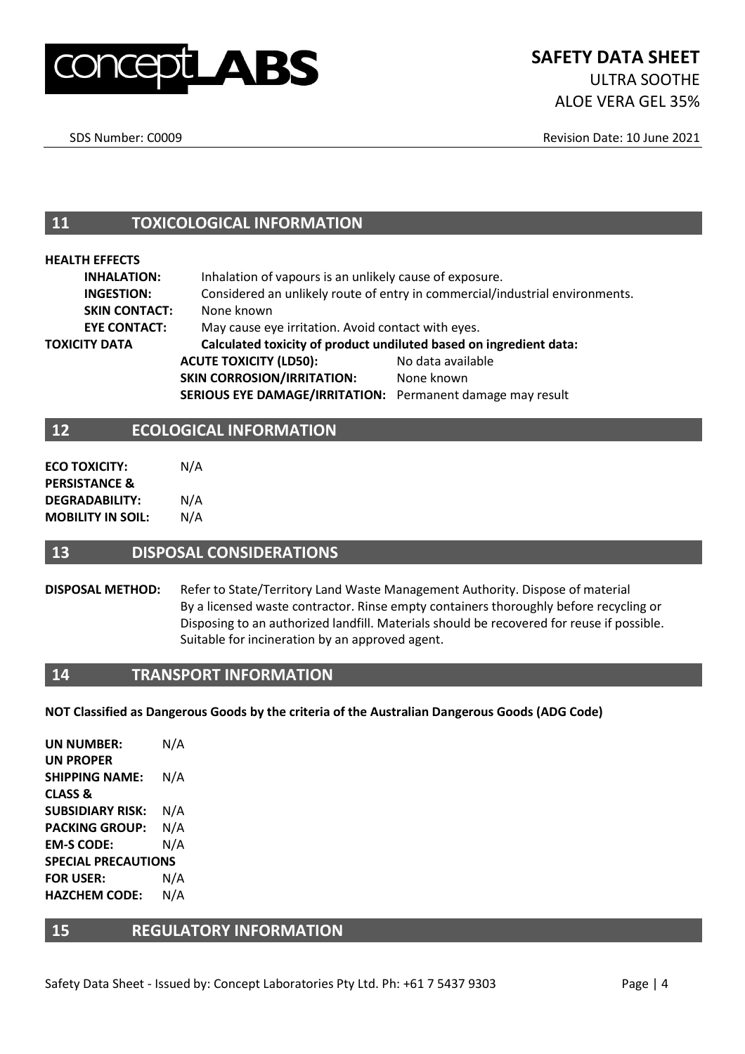

SDS Number: C0009 **Revision Date: 10 June 2021** 

**11 TOXICOLOGICAL INFORMATION**

#### **HEALTH EFFECTS**

| <b>INHALATION:</b>   |                                                                    | Inhalation of vapours is an unlikely cause of exposure.                      |  |
|----------------------|--------------------------------------------------------------------|------------------------------------------------------------------------------|--|
| <b>INGESTION:</b>    |                                                                    | Considered an unlikely route of entry in commercial/industrial environments. |  |
| <b>SKIN CONTACT:</b> | None known                                                         |                                                                              |  |
| <b>EYE CONTACT:</b>  |                                                                    | May cause eye irritation. Avoid contact with eyes.                           |  |
| TOXICITY DATA        | Calculated toxicity of product undiluted based on ingredient data: |                                                                              |  |
|                      | <b>ACUTE TOXICITY (LD50):</b>                                      | No data available                                                            |  |
|                      | <b>SKIN CORROSION/IRRITATION:</b>                                  | None known                                                                   |  |
|                      | SERIOUS EYE DAMAGE/IRRITATION: Permanent damage may result         |                                                                              |  |
|                      |                                                                    |                                                                              |  |

#### **12 ECOLOGICAL INFORMATION**

| <b>ECO TOXICITY:</b>     | N/A |
|--------------------------|-----|
| <b>PERSISTANCE &amp;</b> |     |
| <b>DEGRADABILITY:</b>    | N/A |
| <b>MOBILITY IN SOIL:</b> | N/A |

#### **13 DISPOSAL CONSIDERATIONS**

#### **DISPOSAL METHOD:** Refer to State/Territory Land Waste Management Authority. Dispose of material By a licensed waste contractor. Rinse empty containers thoroughly before recycling or Disposing to an authorized landfill. Materials should be recovered for reuse if possible. Suitable for incineration by an approved agent.

#### **14 TRANSPORT INFORMATION**

**NOT Classified as Dangerous Goods by the criteria of the Australian Dangerous Goods (ADG Code)**

**UN NUMBER:** N/A **UN PROPER SHIPPING NAME:** N/A **CLASS & SUBSIDIARY RISK:** N/A **PACKING GROUP:** N/A **EM-S CODE:** N/A **SPECIAL PRECAUTIONS FOR USER:** N/A **HAZCHEM CODE:** N/A

#### **15 REGULATORY INFORMATION**